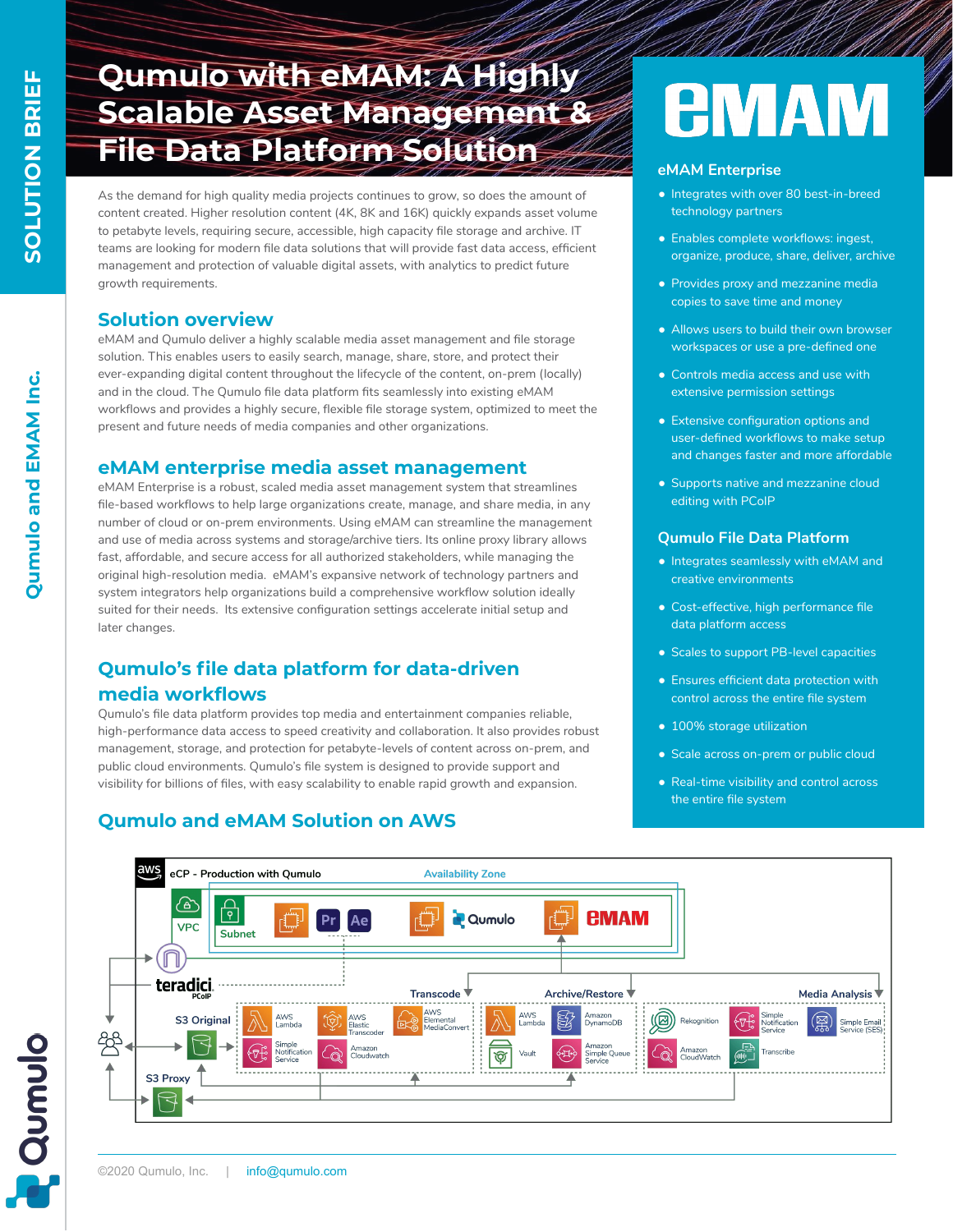# **Qumulo with eMAM: A Highly Scalable Asset Management & File Data Platform Solution**

As the demand for high quality media projects continues to grow, so does the amount of content created. Higher resolution content (4K, 8K and 16K) quickly expands asset volume to petabyte levels, requiring secure, accessible, high capacity file storage and archive. IT teams are looking for modern file data solutions that will provide fast data access, efficient management and protection of valuable digital assets, with analytics to predict future growth requirements.

### **Solution overview**

eMAM and Qumulo deliver a highly scalable media asset management and file storage solution. This enables users to easily search, manage, share, store, and protect their ever-expanding digital content throughout the lifecycle of the content, on-prem (locally) and in the cloud. The Qumulo file data platform fits seamlessly into existing eMAM workflows and provides a highly secure, flexible file storage system, optimized to meet the present and future needs of media companies and other organizations.

#### **eMAM enterprise media asset management**

eMAM Enterprise is a robust, scaled media asset management system that streamlines file-based workflows to help large organizations create, manage, and share media, in any number of cloud or on-prem environments. Using eMAM can streamline the management and use of media across systems and storage/archive tiers. Its online proxy library allows fast, affordable, and secure access for all authorized stakeholders, while managing the original high-resolution media. eMAM's expansive network of technology partners and system integrators help organizations build a comprehensive workflow solution ideally suited for their needs. Its extensive configuration settings accelerate initial setup and later changes.

## **Qumulo's file data platform for data-driven media workflows**

Qumulo's file data platform provides top media and entertainment companies reliable, high-performance data access to speed creativity and collaboration. It also provides robust management, storage, and protection for petabyte-levels of content across on-prem, and

public cloud environments. Qumulo's file system is designed to provide support and visibility for billions of files, with easy scalability to enable rapid growth and expansion.

# **AMAM**

#### **eMAM Enterprise**

- Integrates with over 80 best-in-breed technology partners
- Enables complete workflows: ingest, organize, produce, share, deliver, archive
- Provides proxy and mezzanine media copies to save time and money
- Allows users to build their own browser workspaces or use a pre-defined one
- Controls media access and use with extensive permission settings
- Extensive configuration options and user-defined workflows to make setup and changes faster and more affordable
- Supports native and mezzanine cloud editing with PCoIP

#### **Qumulo File Data Platform**

- Integrates seamlessly with eMAM and creative environments
- Cost-effective, high performance file data platform access
- Scales to support PB-level capacities
- Ensures efficient data protection with control across the entire file system
- 100% storage utilization
- Scale across on-prem or public cloud
- Real-time visibility and control across the entire file system



# **Qumulo and eMAM Solution on AWS**

**Qumulo**